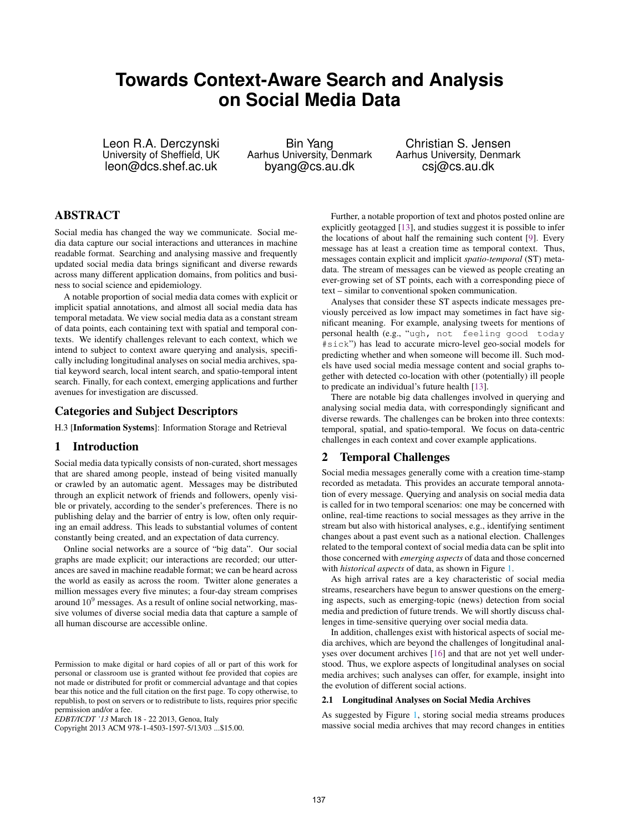# **Towards Context-Aware Search and Analysis on Social Media Data**

Leon R.A. Derczynski University of Sheffield, UK leon@dcs.shef.ac.uk

Bin Yang Aarhus University, Denmark byang@cs.au.dk

Christian S. Jensen Aarhus University, Denmark csj@cs.au.dk

# ABSTRACT

Social media has changed the way we communicate. Social media data capture our social interactions and utterances in machine readable format. Searching and analysing massive and frequently updated social media data brings significant and diverse rewards across many different application domains, from politics and business to social science and epidemiology.

A notable proportion of social media data comes with explicit or implicit spatial annotations, and almost all social media data has temporal metadata. We view social media data as a constant stream of data points, each containing text with spatial and temporal contexts. We identify challenges relevant to each context, which we intend to subject to context aware querying and analysis, specifically including longitudinal analyses on social media archives, spatial keyword search, local intent search, and spatio-temporal intent search. Finally, for each context, emerging applications and further avenues for investigation are discussed.

## Categories and Subject Descriptors

H.3 [Information Systems]: Information Storage and Retrieval

## 1 Introduction

Social media data typically consists of non-curated, short messages that are shared among people, instead of being visited manually or crawled by an automatic agent. Messages may be distributed through an explicit network of friends and followers, openly visible or privately, according to the sender's preferences. There is no publishing delay and the barrier of entry is low, often only requiring an email address. This leads to substantial volumes of content constantly being created, and an expectation of data currency.

Online social networks are a source of "big data". Our social graphs are made explicit; our interactions are recorded; our utterances are saved in machine readable format; we can be heard across the world as easily as across the room. Twitter alone generates a million messages every five minutes; a four-day stream comprises around  $10<sup>9</sup>$  messages. As a result of online social networking, massive volumes of diverse social media data that capture a sample of all human discourse are accessible online.

*EDBT/ICDT '13* March 18 - 22 2013, Genoa, Italy

Copyright 2013 ACM 978-1-4503-1597-5/13/03 ...\$15.00.

Further, a notable proportion of text and photos posted online are explicitly geotagged [13], and studies suggest it is possible to infer the locations of about half the remaining such content [9]. Every message has at least a creation time as temporal context. Thus, messages contain explicit and implicit *spatio-temporal* (ST) metadata. The stream of messages can be viewed as people creating an ever-growing set of ST points, each with a corresponding piece of text – similar to conventional spoken communication.

Analyses that consider these ST aspects indicate messages previously perceived as low impact may sometimes in fact have significant meaning. For example, analysing tweets for mentions of personal health (e.g., "ugh, not feeling good today #sick") has lead to accurate micro-level geo-social models for predicting whether and when someone will become ill. Such models have used social media message content and social graphs together with detected co-location with other (potentially) ill people to predicate an individual's future health [13].

There are notable big data challenges involved in querying and analysing social media data, with correspondingly significant and diverse rewards. The challenges can be broken into three contexts: temporal, spatial, and spatio-temporal. We focus on data-centric challenges in each context and cover example applications.

## 2 Temporal Challenges

Social media messages generally come with a creation time-stamp recorded as metadata. This provides an accurate temporal annotation of every message. Querying and analysis on social media data is called for in two temporal scenarios: one may be concerned with online, real-time reactions to social messages as they arrive in the stream but also with historical analyses, e.g., identifying sentiment changes about a past event such as a national election. Challenges related to the temporal context of social media data can be split into those concerned with *emerging aspects* of data and those concerned with *historical aspects* of data, as shown in Figure 1.

As high arrival rates are a key characteristic of social media streams, researchers have begun to answer questions on the emerging aspects, such as emerging-topic (news) detection from social media and prediction of future trends. We will shortly discuss challenges in time-sensitive querying over social media data.

In addition, challenges exist with historical aspects of social media archives, which are beyond the challenges of longitudinal analyses over document archives [16] and that are not yet well understood. Thus, we explore aspects of longitudinal analyses on social media archives; such analyses can offer, for example, insight into the evolution of different social actions.

#### 2.1 Longitudinal Analyses on Social Media Archives

As suggested by Figure 1, storing social media streams produces massive social media archives that may record changes in entities

Permission to make digital or hard copies of all or part of this work for personal or classroom use is granted without fee provided that copies are not made or distributed for profit or commercial advantage and that copies bear this notice and the full citation on the first page. To copy otherwise, to republish, to post on servers or to redistribute to lists, requires prior specific permission and/or a fee.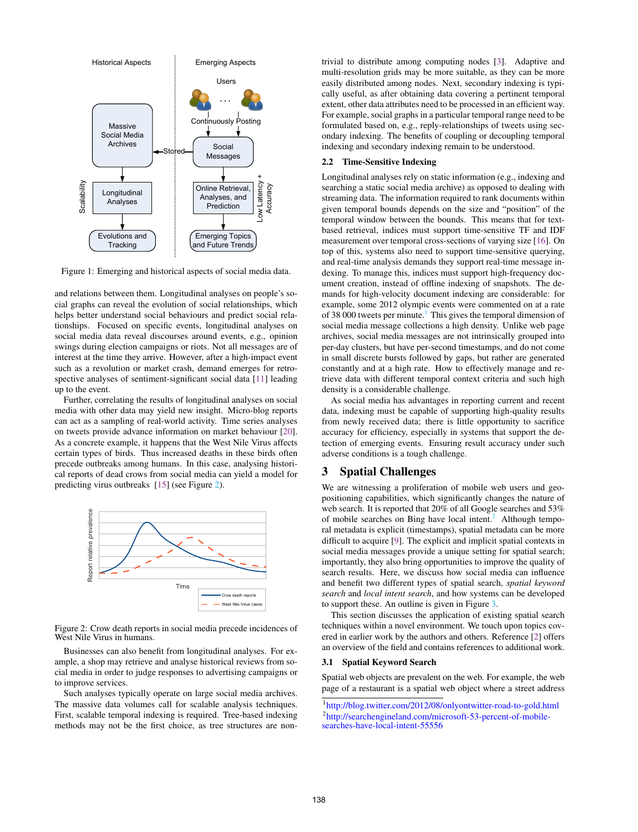

Figure 1: Emerging and historical aspects of social media data.

and relations between them. Longitudinal analyses on people's social graphs can reveal the evolution of social relationships, which helps better understand social behaviours and predict social relationships. Focused on specific events, longitudinal analyses on social media data reveal discourses around events, e.g., opinion swings during election campaigns or riots. Not all messages are of interest at the time they arrive. However, after a high-impact event such as a revolution or market crash, demand emerges for retrospective analyses of sentiment-significant social data [11] leading up to the event.

Further, correlating the results of longitudinal analyses on social media with other data may yield new insight. Micro-blog reports can act as a sampling of real-world activity. Time series analyses on tweets provide advance information on market behaviour [20]. As a concrete example, it happens that the West Nile Virus affects certain types of birds. Thus increased deaths in these birds often precede outbreaks among humans. In this case, analysing historical reports of dead crows from social media can yield a model for predicting virus outbreaks [15] (see Figure 2).



Figure 2: Crow death reports in social media precede incidences of West Nile Virus in humans.

Businesses can also benefit from longitudinal analyses. For example, a shop may retrieve and analyse historical reviews from social media in order to judge responses to advertising campaigns or to improve services.

Such analyses typically operate on large social media archives. The massive data volumes call for scalable analysis techniques. First, scalable temporal indexing is required. Tree-based indexing methods may not be the first choice, as tree structures are nontrivial to distribute among computing nodes [3]. Adaptive and multi-resolution grids may be more suitable, as they can be more easily distributed among nodes. Next, secondary indexing is typically useful, as after obtaining data covering a pertinent temporal extent, other data attributes need to be processed in an efficient way. For example, social graphs in a particular temporal range need to be formulated based on, e.g., reply-relationships of tweets using secondary indexing. The benefits of coupling or decoupling temporal indexing and secondary indexing remain to be understood.

## 2.2 Time-Sensitive Indexing

Longitudinal analyses rely on static information (e.g., indexing and searching a static social media archive) as opposed to dealing with streaming data. The information required to rank documents within given temporal bounds depends on the size and "position" of the temporal window between the bounds. This means that for textbased retrieval, indices must support time-sensitive TF and IDF measurement over temporal cross-sections of varying size [16]. On top of this, systems also need to support time-sensitive querying, and real-time analysis demands they support real-time message indexing. To manage this, indices must support high-frequency document creation, instead of offline indexing of snapshots. The demands for high-velocity document indexing are considerable: for example, some 2012 olympic events were commented on at a rate of 38 000 tweets per minute.<sup>1</sup> This gives the temporal dimension of social media message collections a high density. Unlike web page archives, social media messages are not intrinsically grouped into per-day clusters, but have per-second timestamps, and do not come in small discrete bursts followed by gaps, but rather are generated constantly and at a high rate. How to effectively manage and retrieve data with different temporal context criteria and such high density is a considerable challenge.

As social media has advantages in reporting current and recent data, indexing must be capable of supporting high-quality results from newly received data; there is little opportunity to sacrifice accuracy for efficiency, especially in systems that support the detection of emerging events. Ensuring result accuracy under such adverse conditions is a tough challenge.

## 3 Spatial Challenges

We are witnessing a proliferation of mobile web users and geopositioning capabilities, which significantly changes the nature of web search. It is reported that 20% of all Google searches and 53% of mobile searches on Bing have local intent.<sup>2</sup> Although temporal metadata is explicit (timestamps), spatial metadata can be more difficult to acquire [9]. The explicit and implicit spatial contexts in social media messages provide a unique setting for spatial search; importantly, they also bring opportunities to improve the quality of search results. Here, we discuss how social media can influence and benefit two different types of spatial search, *spatial keyword search* and *local intent search*, and how systems can be developed to support these. An outline is given in Figure 3.

This section discusses the application of existing spatial search techniques within a novel environment. We touch upon topics covered in earlier work by the authors and others. Reference [2] offers an overview of the field and contains references to additional work.

#### 3.1 Spatial Keyword Search

Spatial web objects are prevalent on the web. For example, the web page of a restaurant is a spatial web object where a street address

<sup>1</sup> <http://blog.twitter.com/2012/08/onlyontwitter-road-to-gold.html> <sup>2</sup>[http://searchengineland.com/microsoft-53-percent-of-mobile](http://searchengineland.com/microsoft-53-percent-of-mobile-searches-have-local-intent-55556)[searches-have-local-intent-55556](http://searchengineland.com/microsoft-53-percent-of-mobile-searches-have-local-intent-55556)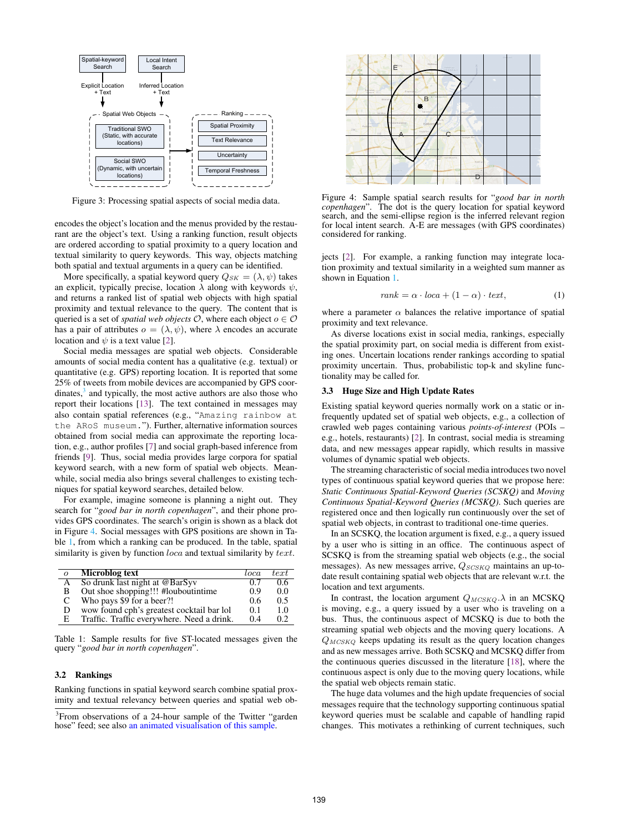

Figure 3: Processing spatial aspects of social media data.

encodes the object's location and the menus provided by the restaurant are the object's text. Using a ranking function, result objects are ordered according to spatial proximity to a query location and textual similarity to query keywords. This way, objects matching both spatial and textual arguments in a query can be identified.

More specifically, a spatial keyword query  $Q_{SK} = (\lambda, \psi)$  takes an explicit, typically precise, location  $\lambda$  along with keywords  $\psi$ , and returns a ranked list of spatial web objects with high spatial proximity and textual relevance to the query. The content that is queried is a set of *spatial web objects*  $O$ , where each object  $o \in O$ has a pair of attributes  $o = (\lambda, \psi)$ , where  $\lambda$  encodes an accurate location and  $\psi$  is a text value [2].

Social media messages are spatial web objects. Considerable amounts of social media content has a qualitative (e.g. textual) or quantitative (e.g. GPS) reporting location. It is reported that some 25% of tweets from mobile devices are accompanied by GPS coordinates, $3$  and typically, the most active authors are also those who report their locations [13]. The text contained in messages may also contain spatial references (e.g., "Amazing rainbow at the ARoS museum."). Further, alternative information sources obtained from social media can approximate the reporting location, e.g., author profiles [7] and social graph-based inference from friends [9]. Thus, social media provides large corpora for spatial keyword search, with a new form of spatial web objects. Meanwhile, social media also brings several challenges to existing techniques for spatial keyword searches, detailed below.

For example, imagine someone is planning a night out. They search for "*good bar in north copenhagen*", and their phone provides GPS coordinates. The search's origin is shown as a black dot in Figure 4. Social messages with GPS positions are shown in Table 1, from which a ranking can be produced. In the table, spatial similarity is given by function *loca* and textual similarity by text.

| $\overline{O}$ | Microblog text                             | toca         | text |
|----------------|--------------------------------------------|--------------|------|
| $\mathbf{A}$   | So drunk last night at @BarSyv             | $\mathbf{0}$ | 0.6  |
| В              | Out shoe shopping!!! #louboutintime        | 0.9          | 0.0  |
| C              | Who pays \$9 for a beer?!                  | 0.6          | 0.5  |
| D              | wow found cph's greatest cocktail bar lol  | 0.1          | 1.0  |
| E              | Traffic. Traffic everywhere. Need a drink. | 0.4          | 0.2  |

Table 1: Sample results for five ST-located messages given the query "*good bar in north copenhagen*".

## 3.2 Rankings

Ranking functions in spatial keyword search combine spatial proximity and textual relevancy between queries and spatial web ob-



Figure 4: Sample spatial search results for "*good bar in north copenhagen*". The dot is the query location for spatial keyword search, and the semi-ellipse region is the inferred relevant region for local intent search. A-E are messages (with GPS coordinates) considered for ranking.

jects [2]. For example, a ranking function may integrate location proximity and textual similarity in a weighted sum manner as shown in Equation 1.

$$
rank = \alpha \cdot loca + (1 - \alpha) \cdot text,\tag{1}
$$

where a parameter  $\alpha$  balances the relative importance of spatial proximity and text relevance.

As diverse locations exist in social media, rankings, especially the spatial proximity part, on social media is different from existing ones. Uncertain locations render rankings according to spatial proximity uncertain. Thus, probabilistic top-k and skyline functionality may be called for.

#### 3.3 Huge Size and High Update Rates

Existing spatial keyword queries normally work on a static or infrequently updated set of spatial web objects, e.g., a collection of crawled web pages containing various *points-of-interest* (POIs – e.g., hotels, restaurants) [2]. In contrast, social media is streaming data, and new messages appear rapidly, which results in massive volumes of dynamic spatial web objects.

The streaming characteristic of social media introduces two novel types of continuous spatial keyword queries that we propose here: *Static Continuous Spatial-Keyword Queries (SCSKQ)* and *Moving Continuous Spatial-Keyword Queries (MCSKQ)*. Such queries are registered once and then logically run continuously over the set of spatial web objects, in contrast to traditional one-time queries.

In an SCSKQ, the location argument is fixed, e.g., a query issued by a user who is sitting in an office. The continuous aspect of SCSKQ is from the streaming spatial web objects (e.g., the social messages). As new messages arrive,  $Q_{SCSKQ}$  maintains an up-todate result containing spatial web objects that are relevant w.r.t. the location and text arguments.

In contrast, the location argument  $Q_{MCSKQ}$ .  $\lambda$  in an MCSKQ is moving, e.g., a query issued by a user who is traveling on a bus. Thus, the continuous aspect of MCSKQ is due to both the streaming spatial web objects and the moving query locations. A  $Q_{MCSKQ}$  keeps updating its result as the query location changes and as new messages arrive. Both SCSKQ and MCSKQ differ from the continuous queries discussed in the literature [18], where the continuous aspect is only due to the moving query locations, while the spatial web objects remain static.

The huge data volumes and the high update frequencies of social messages require that the technology supporting continuous spatial keyword queries must be scalable and capable of handling rapid changes. This motivates a rethinking of current techniques, such

<sup>&</sup>lt;sup>3</sup>From observations of a 24-hour sample of the Twitter "garden hose" feed; see also [an animated visualisation of this sample.](http://www.youtube.com/watch?v=x_Emzfw4xeY)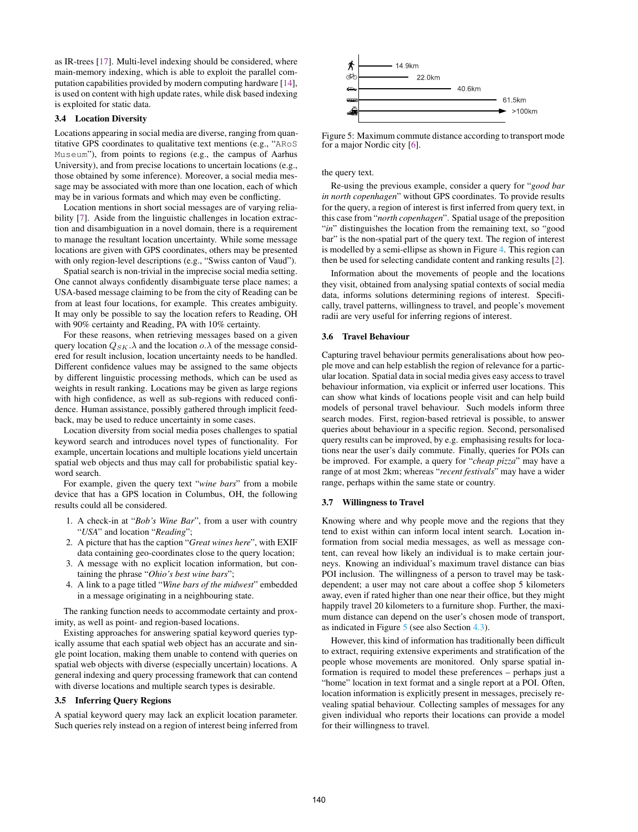as IR-trees [17]. Multi-level indexing should be considered, where main-memory indexing, which is able to exploit the parallel computation capabilities provided by modern computing hardware [14], is used on content with high update rates, while disk based indexing is exploited for static data.

#### 3.4 Location Diversity

Locations appearing in social media are diverse, ranging from quantitative GPS coordinates to qualitative text mentions (e.g., "ARoS Museum"), from points to regions (e.g., the campus of Aarhus University), and from precise locations to uncertain locations (e.g., those obtained by some inference). Moreover, a social media message may be associated with more than one location, each of which may be in various formats and which may even be conflicting.

Location mentions in short social messages are of varying reliability [7]. Aside from the linguistic challenges in location extraction and disambiguation in a novel domain, there is a requirement to manage the resultant location uncertainty. While some message locations are given with GPS coordinates, others may be presented with only region-level descriptions (e.g., "Swiss canton of Vaud").

Spatial search is non-trivial in the imprecise social media setting. One cannot always confidently disambiguate terse place names; a USA-based message claiming to be from the city of Reading can be from at least four locations, for example. This creates ambiguity. It may only be possible to say the location refers to Reading, OH with 90% certainty and Reading, PA with 10% certainty.

For these reasons, when retrieving messages based on a given query location  $Q_{SK}$ .  $\lambda$  and the location  $\rho$ .  $\lambda$  of the message considered for result inclusion, location uncertainty needs to be handled. Different confidence values may be assigned to the same objects by different linguistic processing methods, which can be used as weights in result ranking. Locations may be given as large regions with high confidence, as well as sub-regions with reduced confidence. Human assistance, possibly gathered through implicit feedback, may be used to reduce uncertainty in some cases.

Location diversity from social media poses challenges to spatial keyword search and introduces novel types of functionality. For example, uncertain locations and multiple locations yield uncertain spatial web objects and thus may call for probabilistic spatial keyword search.

For example, given the query text "*wine bars*" from a mobile device that has a GPS location in Columbus, OH, the following results could all be considered.

- 1. A check-in at "*Bob's Wine Bar*", from a user with country "*USA*" and location "*Reading*";
- 2. A picture that has the caption "*Great wines here*", with EXIF data containing geo-coordinates close to the query location;
- 3. A message with no explicit location information, but containing the phrase "*Ohio's best wine bars*";
- 4. A link to a page titled "*Wine bars of the midwest*" embedded in a message originating in a neighbouring state.

The ranking function needs to accommodate certainty and proximity, as well as point- and region-based locations.

Existing approaches for answering spatial keyword queries typically assume that each spatial web object has an accurate and single point location, making them unable to contend with queries on spatial web objects with diverse (especially uncertain) locations. A general indexing and query processing framework that can contend with diverse locations and multiple search types is desirable.

#### 3.5 Inferring Query Regions

A spatial keyword query may lack an explicit location parameter. Such queries rely instead on a region of interest being inferred from



Figure 5: Maximum commute distance according to transport mode for a major Nordic city [6].

#### the query text.

Re-using the previous example, consider a query for "*good bar in north copenhagen*" without GPS coordinates. To provide results for the query, a region of interest is first inferred from query text, in this case from "*north copenhagen*". Spatial usage of the preposition "*in*" distinguishes the location from the remaining text, so "good bar" is the non-spatial part of the query text. The region of interest is modelled by a semi-ellipse as shown in Figure 4. This region can then be used for selecting candidate content and ranking results [2].

Information about the movements of people and the locations they visit, obtained from analysing spatial contexts of social media data, informs solutions determining regions of interest. Specifically, travel patterns, willingness to travel, and people's movement radii are very useful for inferring regions of interest.

#### 3.6 Travel Behaviour

Capturing travel behaviour permits generalisations about how people move and can help establish the region of relevance for a particular location. Spatial data in social media gives easy access to travel behaviour information, via explicit or inferred user locations. This can show what kinds of locations people visit and can help build models of personal travel behaviour. Such models inform three search modes. First, region-based retrieval is possible, to answer queries about behaviour in a specific region. Second, personalised query results can be improved, by e.g. emphasising results for locations near the user's daily commute. Finally, queries for POIs can be improved. For example, a query for "*cheap pizza*" may have a range of at most 2km; whereas "*recent festivals*" may have a wider range, perhaps within the same state or country.

## 3.7 Willingness to Travel

Knowing where and why people move and the regions that they tend to exist within can inform local intent search. Location information from social media messages, as well as message content, can reveal how likely an individual is to make certain journeys. Knowing an individual's maximum travel distance can bias POI inclusion. The willingness of a person to travel may be taskdependent; a user may not care about a coffee shop 5 kilometers away, even if rated higher than one near their office, but they might happily travel 20 kilometers to a furniture shop. Further, the maximum distance can depend on the user's chosen mode of transport, as indicated in Figure 5 (see also Section 4.3).

However, this kind of information has traditionally been difficult to extract, requiring extensive experiments and stratification of the people whose movements are monitored. Only sparse spatial information is required to model these preferences – perhaps just a "home" location in text format and a single report at a POI. Often, location information is explicitly present in messages, precisely revealing spatial behaviour. Collecting samples of messages for any given individual who reports their locations can provide a model for their willingness to travel.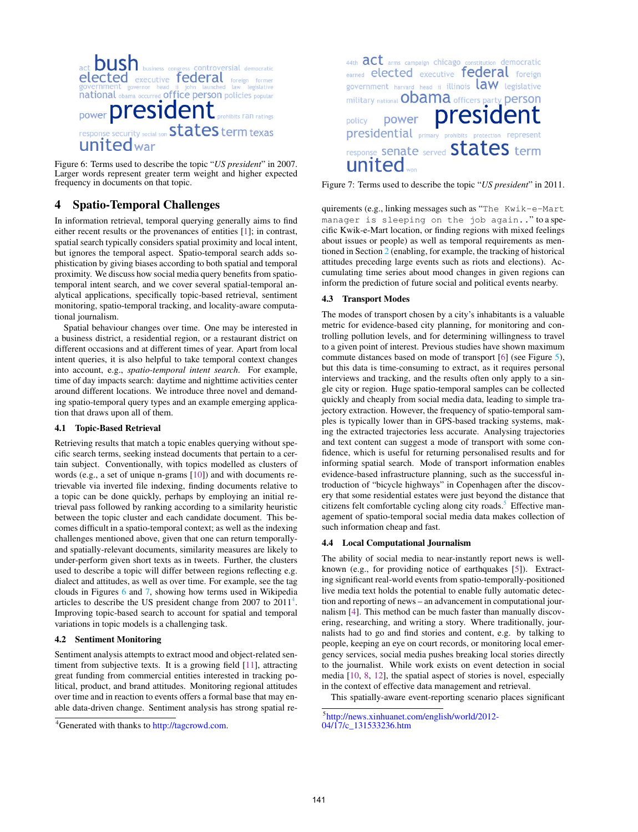

Figure 6: Terms used to describe the topic "*US president*" in 2007. Larger words represent greater term weight and higher expected frequency in documents on that topic.

## 4 Spatio-Temporal Challenges

In information retrieval, temporal querying generally aims to find either recent results or the provenances of entities [1]; in contrast, spatial search typically considers spatial proximity and local intent, but ignores the temporal aspect. Spatio-temporal search adds sophistication by giving biases according to both spatial and temporal proximity. We discuss how social media query benefits from spatiotemporal intent search, and we cover several spatial-temporal analytical applications, specifically topic-based retrieval, sentiment monitoring, spatio-temporal tracking, and locality-aware computational journalism.

Spatial behaviour changes over time. One may be interested in a business district, a residential region, or a restaurant district on different occasions and at different times of year. Apart from local intent queries, it is also helpful to take temporal context changes into account, e.g., *spatio-temporal intent search*. For example, time of day impacts search: daytime and nighttime activities center around different locations. We introduce three novel and demanding spatio-temporal query types and an example emerging application that draws upon all of them.

## 4.1 Topic-Based Retrieval

Retrieving results that match a topic enables querying without specific search terms, seeking instead documents that pertain to a certain subject. Conventionally, with topics modelled as clusters of words (e.g., a set of unique n-grams [10]) and with documents retrievable via inverted file indexing, finding documents relative to a topic can be done quickly, perhaps by employing an initial retrieval pass followed by ranking according to a similarity heuristic between the topic cluster and each candidate document. This becomes difficult in a spatio-temporal context; as well as the indexing challenges mentioned above, given that one can return temporallyand spatially-relevant documents, similarity measures are likely to under-perform given short texts as in tweets. Further, the clusters used to describe a topic will differ between regions reflecting e.g. dialect and attitudes, as well as over time. For example, see the tag clouds in Figures 6 and 7, showing how terms used in Wikipedia articles to describe the US president change from  $2007$  to  $2011<sup>4</sup>$ . Improving topic-based search to account for spatial and temporal variations in topic models is a challenging task.

## 4.2 Sentiment Monitoring

Sentiment analysis attempts to extract mood and object-related sentiment from subjective texts. It is a growing field [11], attracting great funding from commercial entities interested in tracking political, product, and brand attitudes. Monitoring regional attitudes over time and in reaction to events offers a formal base that may enable data-driven change. Sentiment analysis has strong spatial re-



Figure 7: Terms used to describe the topic "*US president*" in 2011.

quirements (e.g., linking messages such as "The Kwik-e-Mart manager is sleeping on the job again.." to a specific Kwik-e-Mart location, or finding regions with mixed feelings about issues or people) as well as temporal requirements as mentioned in Section 2 (enabling, for example, the tracking of historical attitudes preceding large events such as riots and elections). Accumulating time series about mood changes in given regions can inform the prediction of future social and political events nearby.

## 4.3 Transport Modes

The modes of transport chosen by a city's inhabitants is a valuable metric for evidence-based city planning, for monitoring and controlling pollution levels, and for determining willingness to travel to a given point of interest. Previous studies have shown maximum commute distances based on mode of transport [6] (see Figure 5), but this data is time-consuming to extract, as it requires personal interviews and tracking, and the results often only apply to a single city or region. Huge spatio-temporal samples can be collected quickly and cheaply from social media data, leading to simple trajectory extraction. However, the frequency of spatio-temporal samples is typically lower than in GPS-based tracking systems, making the extracted trajectories less accurate. Analysing trajectories and text content can suggest a mode of transport with some confidence, which is useful for returning personalised results and for informing spatial search. Mode of transport information enables evidence-based infrastructure planning, such as the successful introduction of "bicycle highways" in Copenhagen after the discovery that some residential estates were just beyond the distance that citizens felt comfortable cycling along city roads.<sup>5</sup> Effective management of spatio-temporal social media data makes collection of such information cheap and fast.

#### 4.4 Local Computational Journalism

The ability of social media to near-instantly report news is wellknown (e.g., for providing notice of earthquakes [5]). Extracting significant real-world events from spatio-temporally-positioned live media text holds the potential to enable fully automatic detection and reporting of news – an advancement in computational journalism [4]. This method can be much faster than manually discovering, researching, and writing a story. Where traditionally, journalists had to go and find stories and content, e.g. by talking to people, keeping an eye on court records, or monitoring local emergency services, social media pushes breaking local stories directly to the journalist. While work exists on event detection in social media [10, 8, 12], the spatial aspect of stories is novel, especially in the context of effective data management and retrieval.

This spatially-aware event-reporting scenario places significant

<sup>4</sup>Generated with thanks to [http://tagcrowd.com.](http://tagcrowd.com)

<sup>5</sup> [http://news.xinhuanet.com/english/world/2012-](http://news.xinhuanet.com/english/world/2012-04/17/c_131533236.htm) [04/17/c\\_131533236.htm](http://news.xinhuanet.com/english/world/2012-04/17/c_131533236.htm)